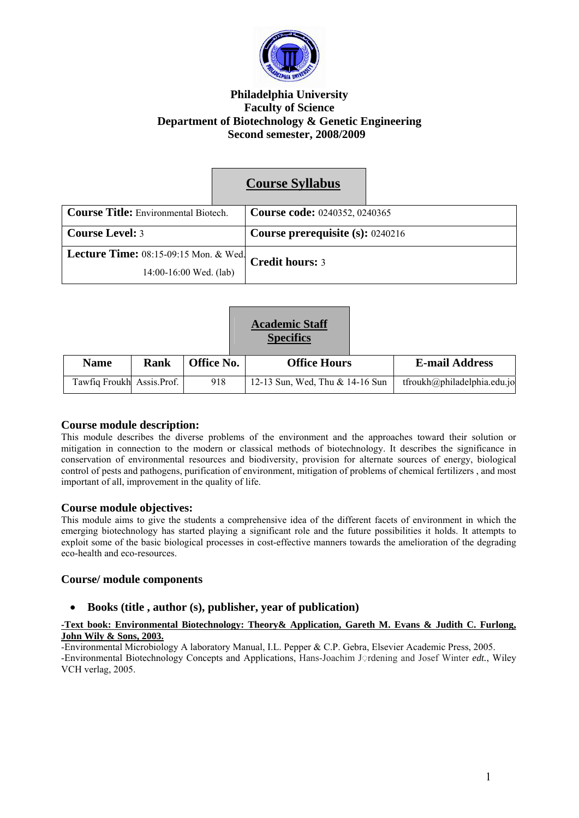

## **Philadelphia University Faculty of Science Department of Biotechnology & Genetic Engineering Second semester, 2008/2009**

|                                              | <b>Course Syllabus</b>               |  |
|----------------------------------------------|--------------------------------------|--|
| <b>Course Title:</b> Environmental Biotech.  | <b>Course code: 0240352, 0240365</b> |  |
| <b>Course Level: 3</b>                       | Course prerequisite (s): 0240216     |  |
| <b>Lecture Time:</b> 08:15-09:15 Mon. & Wed. | <b>Credit hours: 3</b>               |  |
| $14:00-16:00$ Wed. (lab)                     |                                      |  |

|                           |      |                   | <b>Academic Staff</b><br><b>Specifics</b> |                             |
|---------------------------|------|-------------------|-------------------------------------------|-----------------------------|
| <b>Name</b>               | Rank | <b>Office No.</b> | <b>Office Hours</b>                       | <b>E-mail Address</b>       |
| Tawfiq Froukh Assis.Prof. |      | 918               | 12-13 Sun, Wed, Thu & 14-16 Sun           | tfroukh@philadelphia.edu.jo |

#### **Course module description:**

This module describes the diverse problems of the environment and the approaches toward their solution or mitigation in connection to the modern or classical methods of biotechnology. It describes the significance in conservation of environmental resources and biodiversity, provision for alternate sources of energy, biological control of pests and pathogens, purification of environment, mitigation of problems of chemical fertilizers , and most important of all, improvement in the quality of life.

#### **Course module objectives:**

This module aims to give the students a comprehensive idea of the different facets of environment in which the emerging biotechnology has started playing a significant role and the future possibilities it holds. It attempts to exploit some of the basic biological processes in cost-effective manners towards the amelioration of the degrading eco-health and eco-resources.

#### **Course/ module components**

#### • **Books (title , author (s), publisher, year of publication)**

#### **-Text book: Environmental Biotechnology: Theory& Application, Gareth M. Evans & Judith C. Furlong, John Wily & Sons, 2003.**

-Environmental Microbiology A laboratory Manual, I.L. Pepper & C.P. Gebra, Elsevier Academic Press, 2005. -Environmental Biotechnology Concepts and Applications, Hans-Joachim J◌ِ rdening and Josef Winter *edt.*, Wiley VCH verlag, 2005.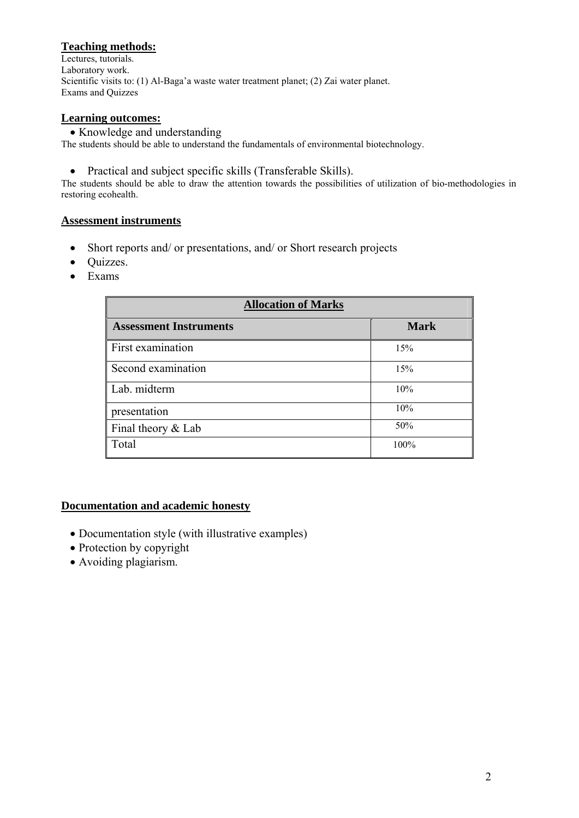# **Teaching methods:**

Lectures, tutorials. Laboratory work. Scientific visits to: (1) Al-Baga'a waste water treatment planet; (2) Zai water planet. Exams and Quizzes

#### **Learning outcomes:**

• Knowledge and understanding

The students should be able to understand the fundamentals of environmental biotechnology.

• Practical and subject specific skills (Transferable Skills).

The students should be able to draw the attention towards the possibilities of utilization of bio-methodologies in restoring ecohealth.

## **Assessment instruments**

- Short reports and/ or presentations, and/ or Short research projects
- Quizzes.
- Exams

| <b>Allocation of Marks</b>    |             |  |  |  |
|-------------------------------|-------------|--|--|--|
| <b>Assessment Instruments</b> | <b>Mark</b> |  |  |  |
| First examination             | 15%         |  |  |  |
| Second examination            | 15%         |  |  |  |
| Lab. midterm                  | 10%         |  |  |  |
| presentation                  | 10%         |  |  |  |
| Final theory & Lab            | 50%         |  |  |  |
| Total                         | 100%        |  |  |  |

# **Documentation and academic honesty**

- Documentation style (with illustrative examples)
- Protection by copyright
- Avoiding plagiarism.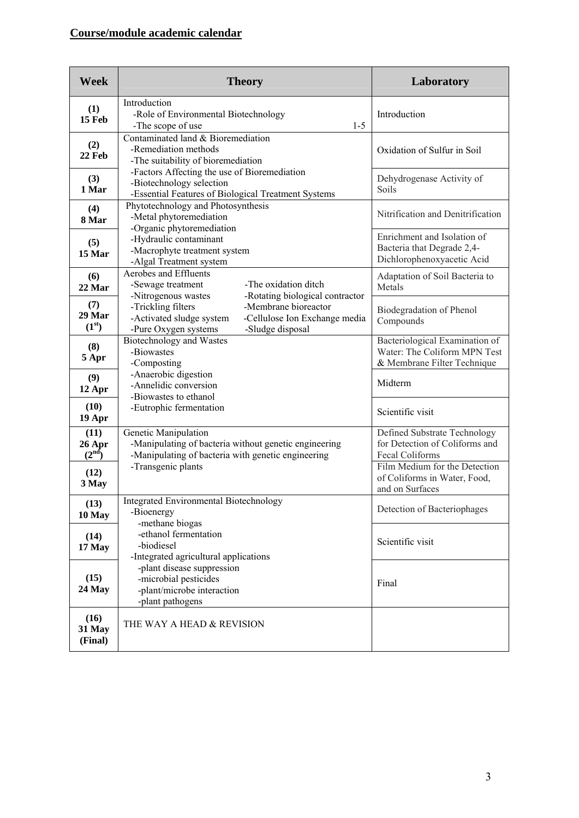# **Course/module academic calendar**

| <b>Week</b>                          | <b>Theory</b>                                                                                                                                       | Laboratory                                                                                    |
|--------------------------------------|-----------------------------------------------------------------------------------------------------------------------------------------------------|-----------------------------------------------------------------------------------------------|
| (1)<br><b>15 Feb</b>                 | Introduction<br>-Role of Environmental Biotechnology<br>$1-5$<br>-The scope of use                                                                  | Introduction                                                                                  |
| (2)<br>22 Feb                        | Contaminated land & Bioremediation<br>-Remediation methods<br>-The suitability of bioremediation                                                    | Oxidation of Sulfur in Soil                                                                   |
| (3)<br>1 Mar                         | -Factors Affecting the use of Bioremediation<br>-Biotechnology selection<br>-Essential Features of Biological Treatment Systems                     | Dehydrogenase Activity of<br>Soils                                                            |
| (4)<br>8 Mar                         | Phytotechnology and Photosynthesis<br>-Metal phytoremediation<br>-Organic phytoremediation                                                          | Nitrification and Denitrification                                                             |
| (5)<br>15 Mar                        | -Hydraulic contaminant<br>-Macrophyte treatment system<br>-Algal Treatment system                                                                   | Enrichment and Isolation of<br>Bacteria that Degrade 2,4-<br>Dichlorophenoxyacetic Acid       |
| (6)<br>22 Mar                        | Aerobes and Effluents<br>-The oxidation ditch<br>-Sewage treatment<br>-Rotating biological contractor<br>-Nitrogenous wastes                        | Adaptation of Soil Bacteria to<br>Metals                                                      |
| (7)<br>29 Mar<br>(1 <sup>st</sup> )  | -Membrane bioreactor<br>-Trickling filters<br>-Cellulose Ion Exchange media<br>-Activated sludge system<br>-Pure Oxygen systems<br>-Sludge disposal | Biodegradation of Phenol<br>Compounds                                                         |
| (8)<br>5 Apr                         | Biotechnology and Wastes<br>-Biowastes<br>-Composting                                                                                               | Bacteriological Examination of<br>Water: The Coliform MPN Test<br>& Membrane Filter Technique |
| (9)<br>12 Apr                        | -Anaerobic digestion<br>-Annelidic conversion<br>-Biowastes to ethanol                                                                              | Midterm                                                                                       |
| (10)<br>19 Apr                       | -Eutrophic fermentation                                                                                                                             | Scientific visit                                                                              |
| (11)<br>26 Apr<br>(2 <sup>nd</sup> ) | Genetic Manipulation<br>-Manipulating of bacteria without genetic engineering<br>-Manipulating of bacteria with genetic engineering                 | Defined Substrate Technology<br>for Detection of Coliforms and<br>Fecal Coliforms             |
| (12)<br>3 May                        | -Transgenic plants                                                                                                                                  | Film Medium for the Detection<br>of Coliforms in Water, Food,<br>and on Surfaces              |
| (13)<br>10 May                       | Integrated Environmental Biotechnology<br>-Bioenergy<br>-methane biogas                                                                             | Detection of Bacteriophages                                                                   |
| (14)<br>17 May                       | -ethanol fermentation<br>-biodiesel<br>-Integrated agricultural applications                                                                        | Scientific visit                                                                              |
| (15)<br>24 May                       | -plant disease suppression<br>-microbial pesticides<br>-plant/microbe interaction<br>-plant pathogens                                               | Final                                                                                         |
| (16)<br>31 May<br>(Final)            | THE WAY A HEAD & REVISION                                                                                                                           |                                                                                               |